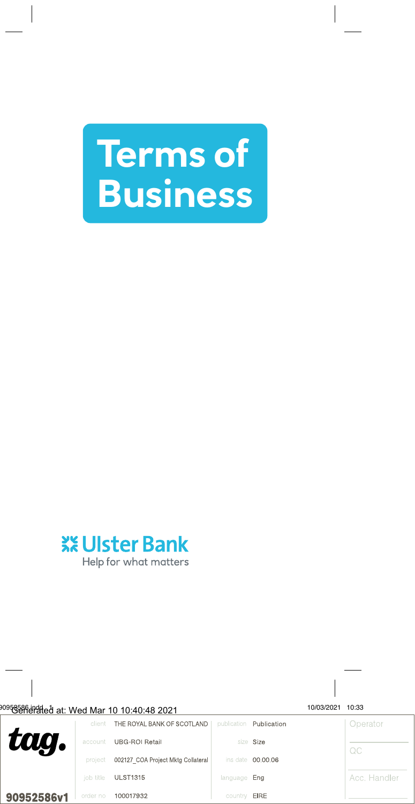

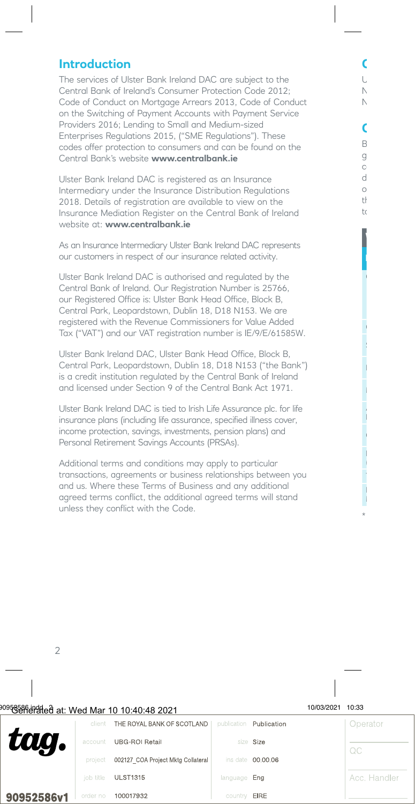## **Introduction**

The services of Ulster Bank Ireland DAC are subject to the Central Bank of Ireland's Consumer Protection Code 2012; Code of Conduct on Mortgage Arrears 2013, Code of Conduct on the Switching of Payment Accounts with Payment Service Providers 2016; Lending to Small and Medium-sized Enterprises Regulations 2015, ("SME Regulations"). These codes offer protection to consumers and can be found on the Central Bank's website **www.centralbank.ie**

Ulster Bank Ireland DAC is registered as an Insurance Intermediary under the Insurance Distribution Regulations 2018. Details of registration are available to view on the Insurance Mediation Register on the Central Bank of Ireland website at: **www.centralbank.ie**

As an Insurance Intermediary Ulster Bank Ireland DAC represents our customers in respect of our insurance related activity.

Ulster Bank Ireland DAC is authorised and regulated by the Central Bank of Ireland. Our Registration Number is 25766, our Registered Office is: Ulster Bank Head Office, Block B, Central Park, Leopardstown, Dublin 18, D18 N153. We are registered with the Revenue Commissioners for Value Added Tax ("VAT") and our VAT registration number is IE/9/E/61585W.

Ulster Bank Ireland DAC, Ulster Bank Head Office, Block B, Central Park, Leopardstown, Dublin 18, D18 N153 ("the Bank") is a credit institution regulated by the Central Bank of Ireland and licensed under Section 9 of the Central Bank Act 1971.

Ulster Bank Ireland DAC is tied to Irish Life Assurance plc. for life insurance plans (including life assurance, specified illness cover, income protection, savings, investments, pension plans) and Personal Retirement Savings Accounts (PRSAs).

Additional terms and conditions may apply to particular transactions, agreements or business relationships between you and us. Where these Terms of Business and any additional agreed terms conflict, the additional agreed terms will stand unless they conflict with the Code.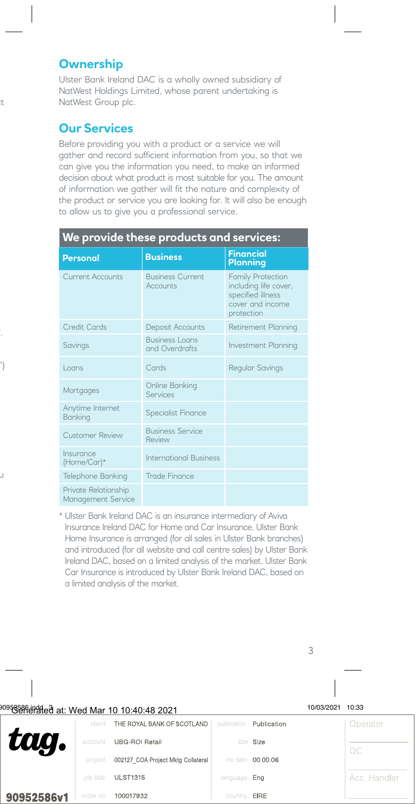# **Ownership**

Ulster Bank Ireland DAC is a wholly owned subsidiary of NatWest Holdings Limited, whose parent undertaking is NatWest Group plc.

# **Our Services**

Before providing you with a product or a service we will gather and record sufficient information from you, so that we can give you the information you need, to make an informed decision about what product is most suitable for you. The amount of information we gather will fit the nature and complexity of the product or service you are looking for. It will also be enough to allow us to give you a professional service.

## **We provide these products and services:**

| <b>Personal</b>                            | <b>Business</b>                         | <b>Financial</b><br><b>Planning</b>                                                               |
|--------------------------------------------|-----------------------------------------|---------------------------------------------------------------------------------------------------|
| <b>Current Accounts</b>                    | <b>Business Current</b><br>Accounts     | Family Protection<br>including life cover,<br>specified illness<br>cover and income<br>protection |
| <b>Credit Cards</b>                        | Deposit Accounts                        | Retirement Planning                                                                               |
| Savings                                    | <b>Business Loans</b><br>and Overdrafts | Investment Planning                                                                               |
| Loans                                      | Cards                                   | <b>Regular Savings</b>                                                                            |
| Mortgages                                  | Online Banking<br>Services              |                                                                                                   |
| Anytime Internet<br><b>Banking</b>         | <b>Specialist Finance</b>               |                                                                                                   |
| <b>Customer Review</b>                     | <b>Business Service</b><br>Review       |                                                                                                   |
| Insurance<br>(Home/Car)*                   | <b>International Business</b>           |                                                                                                   |
| <b>Telephone Banking</b>                   | <b>Trade Finance</b>                    |                                                                                                   |
| Private Relationship<br>Management Service |                                         |                                                                                                   |

\* Ulster Bank Ireland DAC is an insurance intermediary of Aviva Insurance Ireland DAC for Home and Car Insurance. Ulster Bank Home Insurance is arranged (for all sales in Ulster Bank branches) and introduced (for all website and call centre sales) by Ulster Bank Ireland DAC, based on a limited analysis of the market. Ulster Bank Car Insurance is introduced by Ulster Bank Ireland DAC, based on a limited analysis of the market.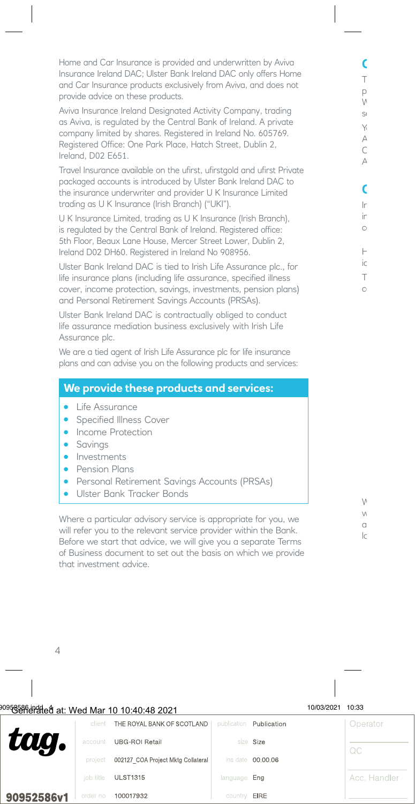Home and Car Insurance is provided and underwritten by Aviva Insurance Ireland DAC; Ulster Bank Ireland DAC only offers Home and Car Insurance products exclusively from Aviva, and does not provide advice on these products.

Aviva Insurance Ireland Designated Activity Company, trading as Aviva, is regulated by the Central Bank of Ireland. A private company limited by shares. Registered in Ireland No. 605769. Registered Office: One Park Place, Hatch Street, Dublin 2, Ireland, D02 E651.

Travel Insurance available on the ufirst, ufirstgold and ufirst Private packaged accounts is introduced by Ulster Bank Ireland DAC to the insurance underwriter and provider U K Insurance Limited trading as U K Insurance (Irish Branch) ("UKI").

U K Insurance Limited, trading as U K Insurance (Irish Branch), is regulated by the Central Bank of Ireland. Registered office: 5th Floor, Beaux Lane House, Mercer Street Lower, Dublin 2, Ireland D02 DH60. Registered in Ireland No 908956.

Ulster Bank Ireland DAC is tied to Irish Life Assurance plc., for life insurance plans (including life assurance, specified illness cover, income protection, savings, investments, pension plans) and Personal Retirement Savings Accounts (PRSAs).

Ulster Bank Ireland DAC is contractually obliged to conduct life assurance mediation business exclusively with Irish Life Assurance plc.

We are a tied agent of Irish Life Assurance plc for life insurance plans and can advise you on the following products and services:

## **We provide these products and services:**

- Life Assurance
- Specified Illness Cover
- Income Protection
- **Savings**
- **Investments**
- Pension Plans
- Personal Retirement Savings Accounts (PRSAs)
- Ulster Bank Tracker Bonds

Where a particular advisory service is appropriate for you, we will refer you to the relevant service provider within the Bank. Before we start that advice, we will give you a separate Terms of Business document to set out the basis on which we provide that investment advice.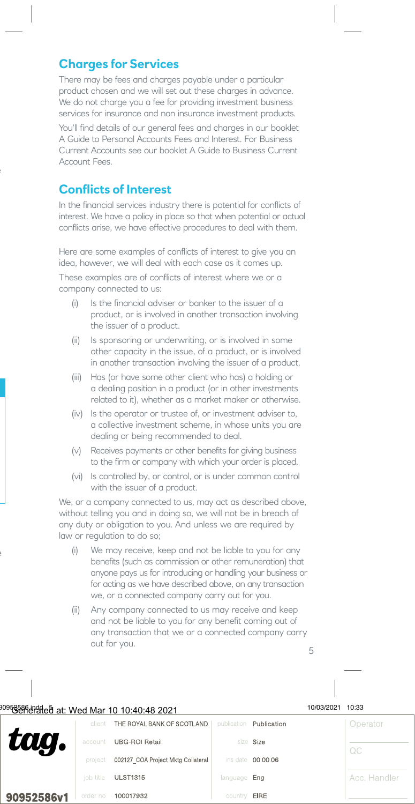# **Charges for Services**

There may be fees and charges payable under a particular product chosen and we will set out these charges in advance. We do not charge you a fee for providing investment business services for insurance and non insurance investment products.

You'll find details of our general fees and charges in our booklet A Guide to Personal Accounts Fees and Interest. For Business Current Accounts see our booklet A Guide to Business Current Account Fees.

## **Conflicts of Interest**

In the financial services industry there is potential for conflicts of interest. We have a policy in place so that when potential or actual conflicts arise, we have effective procedures to deal with them.

Here are some examples of conflicts of interest to give you an idea, however, we will deal with each case as it comes up.

These examples are of conflicts of interest where we or a company connected to us:

- (i) Is the financial adviser or banker to the issuer of a product, or is involved in another transaction involving the issuer of a product.
- (ii) Is sponsoring or underwriting, or is involved in some other capacity in the issue, of a product, or is involved in another transaction involving the issuer of a product.
- (iii) Has (or have some other client who has) a holding or a dealing position in a product (or in other investments related to it), whether as a market maker or otherwise.
- (iv) Is the operator or trustee of, or investment adviser to, a collective investment scheme, in whose units you are dealing or being recommended to deal.
- (v) Receives payments or other benefits for giving business to the firm or company with which your order is placed.
- (vi) Is controlled by, or control, or is under common control with the issuer of a product.

We, or a company connected to us, may act as described above, without telling you and in doing so, we will not be in breach of any duty or obligation to you. And unless we are required by law or regulation to do so;

- (i) We may receive, keep and not be liable to you for any benefits (such as commission or other remuneration) that anyone pays us for introducing or handling your business or for acting as we have described above, on any transaction we, or a connected company carry out for you.
- (ii) Any company connected to us may receive and keep and not be liable to you for any benefit coming out of any transaction that we or a connected company carry out for you.  $5$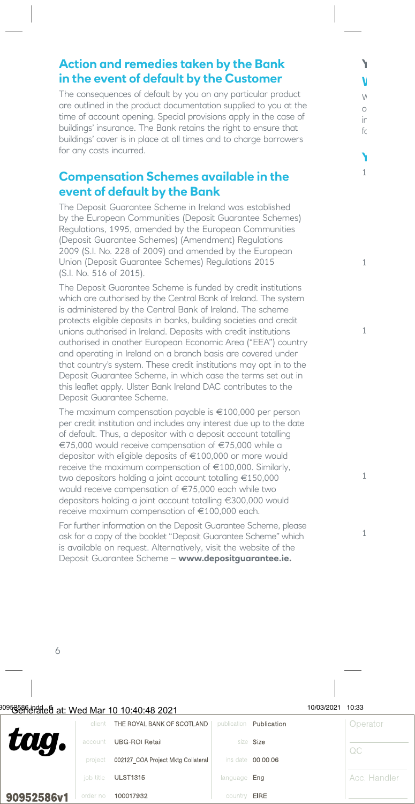# **Action and remedies taken by the Bank in the event of default by the Customer**

The consequences of default by you on any particular product are outlined in the product documentation supplied to you at the time of account opening. Special provisions apply in the case of buildings' insurance. The Bank retains the right to ensure that buildings' cover is in place at all times and to charge borrowers for any costs incurred.

## **Compensation Schemes available in the event of default by the Bank**

The Deposit Guarantee Scheme in Ireland was established by the European Communities (Deposit Guarantee Schemes) Regulations, 1995, amended by the European Communities (Deposit Guarantee Schemes) (Amendment) Regulations 2009 (S.I. No. 228 of 2009) and amended by the European Union (Deposit Guarantee Schemes) Regulations 2015 (S.I. No. 516 of 2015).

The Deposit Guarantee Scheme is funded by credit institutions which are authorised by the Central Bank of Ireland. The system is administered by the Central Bank of Ireland. The scheme protects eligible deposits in banks, building societies and credit unions authorised in Ireland. Deposits with credit institutions authorised in another European Economic Area ("EEA") country and operating in Ireland on a branch basis are covered under that country's system. These credit institutions may opt in to the Deposit Guarantee Scheme, in which case the terms set out in this leaflet apply. Ulster Bank Ireland DAC contributes to the Deposit Guarantee Scheme.

The maximum compensation payable is €100,000 per person per credit institution and includes any interest due up to the date of default. Thus, a depositor with a deposit account totalling €75,000 would receive compensation of €75,000 while a depositor with eligible deposits of €100,000 or more would receive the maximum compensation of €100,000. Similarly, two depositors holding a joint account totalling €150,000 would receive compensation of €75,000 each while two depositors holding a joint account totalling €300,000 would receive maximum compensation of €100,000 each.

For further information on the Deposit Guarantee Scheme, please ask for a copy of the booklet "Deposit Guarantee Scheme" which is available on request. Alternatively, visit the website of the Deposit Guarantee Scheme – **www.depositguarantee.ie.**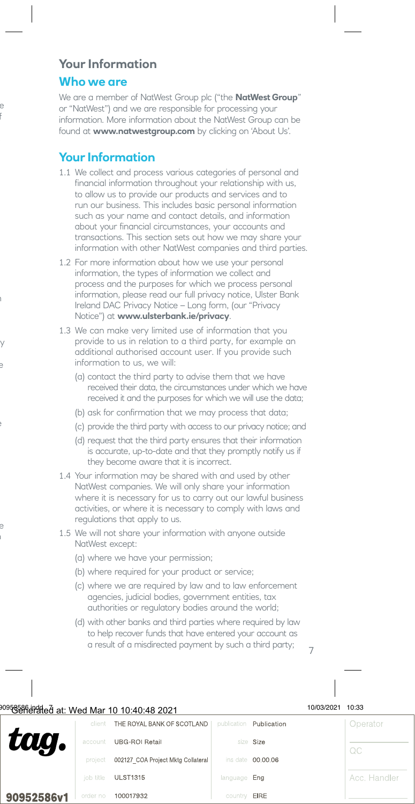## **Your Information**

## **Who we are**

We are a member of NatWest Group plc ("the **NatWest Group**" or "NatWest") and we are responsible for processing your information. More information about the NatWest Group can be found at **www.natwestgroup.com** by clicking on 'About Us'.

## **Your Information**

- 1.1 We collect and process various categories of personal and financial information throughout your relationship with us, to allow us to provide our products and services and to run our business. This includes basic personal information such as your name and contact details, and information about your financial circumstances, your accounts and transactions. This section sets out how we may share your information with other NatWest companies and third parties.
- 1.2 For more information about how we use your personal information, the types of information we collect and process and the purposes for which we process personal information, please read our full privacy notice, Ulster Bank Ireland DAC Privacy Notice – Long form, (our "Privacy Notice") at **www.ulsterbank.ie/privacy**.
- 1.3 We can make very limited use of information that you provide to us in relation to a third party, for example an additional authorised account user. If you provide such information to us, we will:
	- (a) contact the third party to advise them that we have received their data, the circumstances under which we have received it and the purposes for which we will use the data;
	- (b) ask for confirmation that we may process that data;
	- (c) provide the third party with access to our privacy notice; and
	- (d) request that the third party ensures that their information is accurate, up-to-date and that they promptly notify us if they become aware that it is incorrect.
- 1.4 Your information may be shared with and used by other NatWest companies. We will only share your information where it is necessary for us to carry out our lawful business activities, or where it is necessary to comply with laws and regulations that apply to us.
- 1.5 We will not share your information with anyone outside NatWest except:
	- (a) where we have your permission;
	- (b) where required for your product or service;
	- (c) where we are required by law and to law enforcement agencies, judicial bodies, government entities, tax authorities or regulatory bodies around the world;
	- (d) with other banks and third parties where required by law to help recover funds that have entered your account as a result of a misdirected payment by such a third party;  $\overline{7}$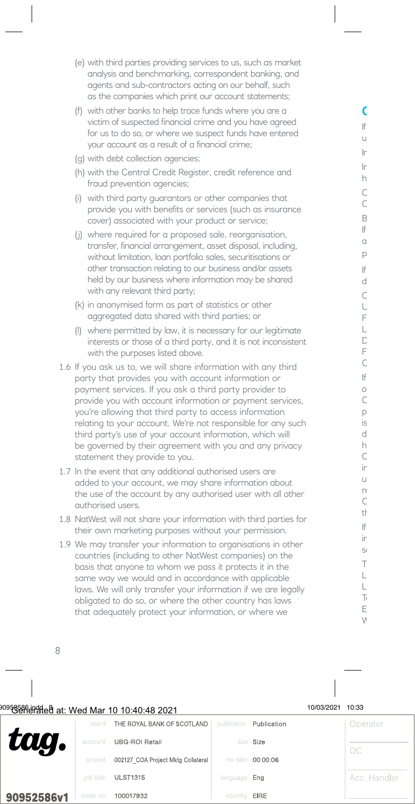- (e) with third parties providing services to us, such as market analysis and benchmarking, correspondent banking, and agents and sub-contractors acting on our behalf, such as the companies which print our account statements;
- (f) with other banks to help trace funds where you are a victim of suspected financial crime and you have agreed for us to do so, or where we suspect funds have entered your account as a result of a financial crime;
- (g) with debt collection agencies;
- (h) with the Central Credit Register, credit reference and fraud prevention agencies;
- (i) with third party guarantors or other companies that provide you with benefits or services (such as insurance cover) associated with your product or service;
- (j) where required for a proposed sale, reorganisation, transfer, financial arrangement, asset disposal, including, without limitation, loan portfolio sales, securitisations or other transaction relating to our business and/or assets held by our business where information may be shared with any relevant third party;
- (k) in anonymised form as part of statistics or other aggregated data shared with third parties; or
- (l) where permitted by law, it is necessary for our legitimate interests or those of a third party, and it is not inconsistent with the purposes listed above.
- 1.6 If you ask us to, we will share information with any third party that provides you with account information or payment services. If you ask a third party provider to provide you with account information or payment services, you're allowing that third party to access information relating to your account. We're not responsible for any such third party's use of your account information, which will be governed by their agreement with you and any privacy statement they provide to you.
- 1.7 In the event that any additional authorised users are added to your account, we may share information about the use of the account by any authorised user with all other authorised users.
- 1.8 NatWest will not share your information with third parties for their own marketing purposes without your permission.
- 1.9 We may transfer your information to organisations in other countries (including to other NatWest companies) on the basis that anyone to whom we pass it protects it in the same way we would and in accordance with applicable laws. We will only transfer your information if we are legally obligated to do so, or where the other country has laws that adequately protect your information, or where we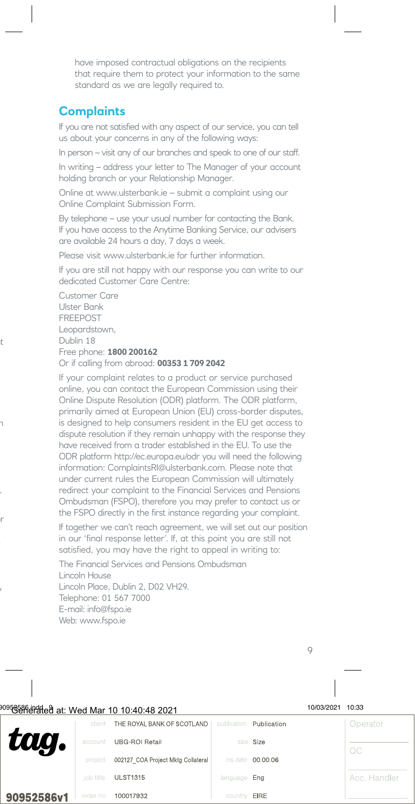have imposed contractual obligations on the recipients that require them to protect your information to the same standard as we are legally required to.

## **Complaints**

If you are not satisfied with any aspect of our service, you can tell us about your concerns in any of the following ways:

In person – visit any of our branches and speak to one of our staff.

In writing – address your letter to The Manager of your account holding branch or your Relationship Manager.

Online at www.ulsterbank.ie – submit a complaint using our Online Complaint Submission Form.

By telephone – use your usual number for contacting the Bank. If you have access to the Anytime Banking Service, our advisers are available 24 hours a day, 7 days a week.

Please visit www.ulsterbank.ie for further information.

If you are still not happy with our response you can write to our dedicated Customer Care Centre:

Customer Care Ulster Bank FREEPOST Leopardstown, Dublin 18 Free phone: **1800 200162** Or if calling from abroad: **00353 1 709 2042**

If your complaint relates to a product or service purchased online, you can contact the European Commission using their Online Dispute Resolution (ODR) platform. The ODR platform, primarily aimed at European Union (EU) cross-border disputes, is designed to help consumers resident in the EU get access to dispute resolution if they remain unhappy with the response they have received from a trader established in the EU. To use the ODR platform http://ec.europa.eu/odr you will need the following information: ComplaintsRI@ulsterbank.com. Please note that under current rules the European Commission will ultimately redirect your complaint to the Financial Services and Pensions Ombudsman (FSPO), therefore you may prefer to contact us or the FSPO directly in the first instance regarding your complaint.

If together we can't reach agreement, we will set out our position in our 'final response letter'. If, at this point you are still not satisfied, you may have the right to appeal in writing to:

The Financial Services and Pensions Ombudsman Lincoln House Lincoln Place, Dublin 2, D02 VH29. Telephone: 01 567 7000 E-mail: info@fspo.ie Web: www.fspo.ie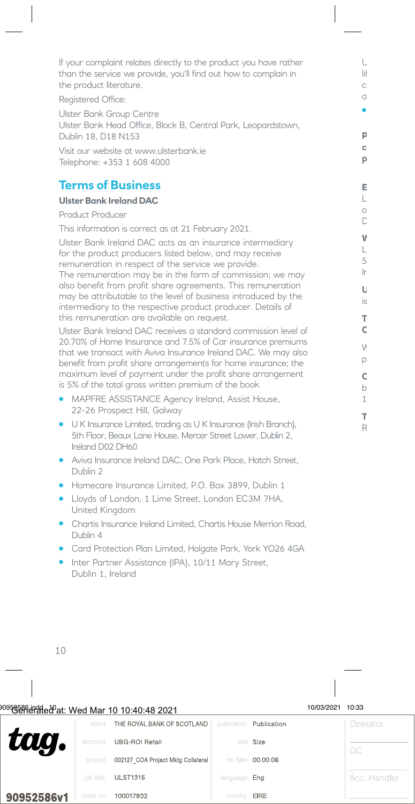If your complaint relates directly to the product you have rather than the service we provide, you'll find out how to complain in the product literature.

Registered Office:

Ulster Bank Group Centre Ulster Bank Head Office, Block B, Central Park, Leopardstown, Dublin 18, D18 N153

Visit our website at www.ulsterbank.ie Telephone: +353 1 608 4000

# **Terms of Business**

#### **Ulster Bank Ireland DAC**

Product Producer

This information is correct as at 21 February 2021.

Ulster Bank Ireland DAC acts as an insurance intermediary for the product producers listed below, and may receive remuneration in respect of the service we provide.

The remuneration may be in the form of commission; we may also benefit from profit share agreements. This remuneration may be attributable to the level of business introduced by the intermediary to the respective product producer. Details of this remuneration are available on request.

Ulster Bank Ireland DAC receives a standard commission level of 20.70% of Home Insurance and 7.5% of Car insurance premiums that we transact with Aviva Insurance Ireland DAC. We may also benefit from profit share arrangements for home insurance; the maximum level of payment under the profit share arrangement is 5% of the total gross written premium of the book

- MAPFRE ASSISTANCE Agency Ireland, Assist House, 22-26 Prospect Hill, Galway
- U K Insurance Limited, trading as U K Insurance (Irish Branch), 5th Floor, Beaux Lane House, Mercer Street Lower, Dublin 2, Ireland D02 DH60
- Aviva Insurance Ireland DAC, One Park Place, Hatch Street, Dublin 2
- Homecare Insurance Limited, P.O. Box 3899, Dublin 1
- Lloyds of London, 1 Lime Street, London EC3M 7HA, United Kingdom
- Chartis Insurance Ireland Limited, Chartis House Merrion Road, Dublin 4
- Card Protection Plan Limited, Holgate Park, York YO26 4GA
- Inter Partner Assistance (IPA), 10/11 Mary Street, Dublin 1, Ireland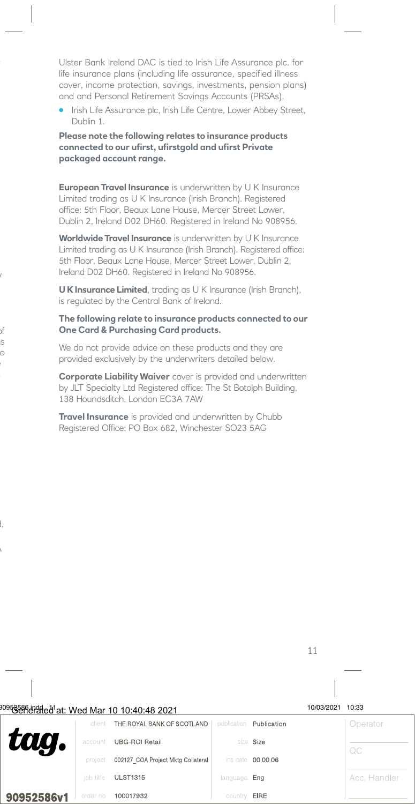Ulster Bank Ireland DAC is tied to Irish Life Assurance plc. for life insurance plans (including life assurance, specified illness cover, income protection, savings, investments, pension plans) and and Personal Retirement Savings Accounts (PRSAs).

● Irish Life Assurance plc, Irish Life Centre, Lower Abbey Street, Dublin 1.

#### **Please note the following relates to insurance products connected to our ufirst, ufirstgold and ufirst Private packaged account range.**

**European Travel Insurance** is underwritten by U K Insurance Limited trading as U K Insurance (Irish Branch). Registered office: 5th Floor, Beaux Lane House, Mercer Street Lower, Dublin 2, Ireland D02 DH60. Registered in Ireland No 908956.

**Worldwide Travel Insurance** is underwritten by U K Insurance Limited trading as U K Insurance (Irish Branch). Registered office: 5th Floor, Beaux Lane House, Mercer Street Lower, Dublin 2, Ireland D02 DH60. Registered in Ireland No 908956.

**U K Insurance Limited**, trading as U K Insurance (Irish Branch), is regulated by the Central Bank of Ireland.

#### **The following relate to insurance products connected to our One Card & Purchasing Card products.**

We do not provide advice on these products and they are provided exclusively by the underwriters detailed below.

**Corporate Liability Waiver** cover is provided and underwritten by JLT Specialty Ltd Registered office: The St Botolph Building, 138 Houndsditch, London EC3A 7AW

**Travel Insurance** is provided and underwritten by Chubb Registered Office: PO Box 682, Winchester SO23 5AG